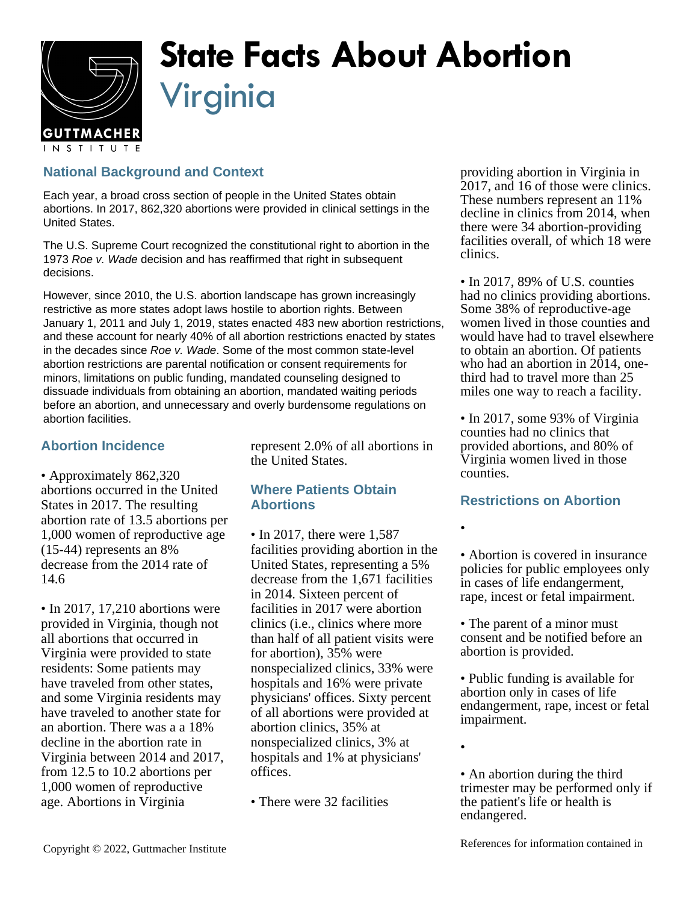

# **State Facts About Abortion** Virginia

## **National Background and Context**

Each year, a broad cross section of people in the United States obtain abortions. In 2017, 862,320 abortions were provided in clinical settings in the United States.

The U.S. Supreme Court recognized the constitutional right to abortion in the 1973 Roe v. Wade decision and has reaffirmed that right in subsequent decisions.

However, since 2010, the U.S. abortion landscape has grown increasingly restrictive as more states adopt laws hostile to abortion rights. Between January 1, 2011 and July 1, 2019, states enacted 483 new abortion restrictions, and these account for nearly 40% of all abortion restrictions enacted by states in the decades since Roe v. Wade. Some of the most common state-level abortion restrictions are parental notification or consent requirements for minors, limitations on public funding, mandated counseling designed to dissuade individuals from obtaining an abortion, mandated waiting periods before an abortion, and unnecessary and overly burdensome regulations on abortion facilities.

## **Abortion Incidence**

• Approximately 862,320 abortions occurred in the United States in 2017. The resulting abortion rate of 13.5 abortions per 1,000 women of reproductive age (15-44) represents an 8% decrease from the 2014 rate of 14.6

• In 2017, 17,210 abortions were provided in Virginia, though not all abortions that occurred in Virginia were provided to state residents: Some patients may have traveled from other states, and some Virginia residents may have traveled to another state for an abortion. There was a a 18% decline in the abortion rate in Virginia between 2014 and 2017, from 12.5 to 10.2 abortions per 1,000 women of reproductive age. Abortions in Virginia

represent 2.0% of all abortions in the United States.

### **Where Patients Obtain Abortions**

- In 2017, there were 1,587 facilities providing abortion in the United States, representing a 5% decrease from the 1,671 facilities in 2014. Sixteen percent of facilities in 2017 were abortion clinics (i.e., clinics where more than half of all patient visits were for abortion), 35% were nonspecialized clinics, 33% were hospitals and 16% were private physicians' offices. Sixty percent of all abortions were provided at abortion clinics, 35% at nonspecialized clinics, 3% at hospitals and 1% at physicians' offices.
- There were 32 facilities

providing abortion in Virginia in 2017, and 16 of those were clinics. These numbers represent an 11% decline in clinics from 2014, when there were 34 abortion-providing facilities overall, of which 18 were clinics.

• In 2017, 89% of U.S. counties had no clinics providing abortions. Some 38% of reproductive-age women lived in those counties and would have had to travel elsewhere to obtain an abortion. Of patients who had an abortion in 2014, onethird had to travel more than 25 miles one way to reach a facility.

• In 2017, some 93% of Virginia counties had no clinics that provided abortions, and 80% of Virginia women lived in those counties.

### **Restrictions on Abortion**

•

• Abortion is covered in insurance policies for public employees only in cases of life endangerment, rape, incest or fetal impairment.

- The parent of a minor must consent and be notified before an abortion is provided.
- Public funding is available for abortion only in cases of life endangerment, rape, incest or fetal impairment.
- •

• An abortion during the third trimester may be performed only if the patient's life or health is endangered.